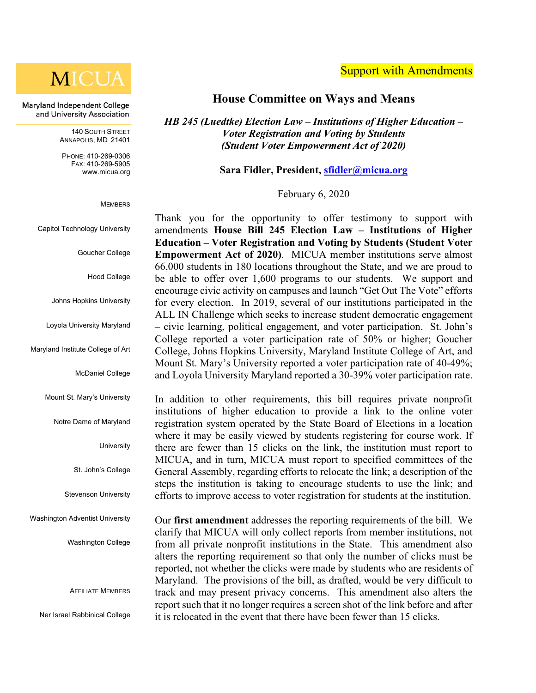

Maryland Independent College and University Association

> 140 SOUTH STREET ANNAPOLIS, MD 21401

PHONE: 410-269-0306 FAX: 410-269-5905 [www.micua.org](http://www.micua.org/)

**MEMBERS** 

Capitol Technology University

Goucher College

Hood College

Johns Hopkins University

Loyola University Maryland

Maryland Institute College of Art

McDaniel College

Mount St. Mary's University

Notre Dame of Maryland

**University** 

St. John's College

Stevenson University

Washington Adventist University

Washington College

AFFILIATE MEMBERS

Ner Israel Rabbinical College

#### **House Committee on Ways and Means**

*HB 245 (Luedtke) Election Law – Institutions of Higher Education – Voter Registration and Voting by Students (Student Voter Empowerment Act of 2020)*

**Sara Fidler, President, [sfidler@micua.org](mailto:sfidler@micua.org)**

February 6, 2020

Thank you for the opportunity to offer testimony to support with amendments **House Bill 245 Election Law – Institutions of Higher Education – Voter Registration and Voting by Students (Student Voter Empowerment Act of 2020)**. MICUA member institutions serve almost 66,000 students in 180 locations throughout the State, and we are proud to be able to offer over 1,600 programs to our students. We support and encourage civic activity on campuses and launch "Get Out The Vote" efforts for every election. In 2019, several of our institutions participated in the ALL IN Challenge which seeks to increase student democratic engagement – civic learning, political engagement, and voter participation. St. John's College reported a voter participation rate of 50% or higher; Goucher College, Johns Hopkins University, Maryland Institute College of Art, and Mount St. Mary's University reported a voter participation rate of 40-49%; and Loyola University Maryland reported a 30-39% voter participation rate.

In addition to other requirements, this bill requires private nonprofit institutions of higher education to provide a link to the online voter registration system operated by the State Board of Elections in a location where it may be easily viewed by students registering for course work. If there are fewer than 15 clicks on the link, the institution must report to MICUA, and in turn, MICUA must report to specified committees of the General Assembly, regarding efforts to relocate the link; a description of the steps the institution is taking to encourage students to use the link; and efforts to improve access to voter registration for students at the institution.

Our **first amendment** addresses the reporting requirements of the bill. We clarify that MICUA will only collect reports from member institutions, not from all private nonprofit institutions in the State. This amendment also alters the reporting requirement so that only the number of clicks must be reported, not whether the clicks were made by students who are residents of Maryland. The provisions of the bill, as drafted, would be very difficult to track and may present privacy concerns. This amendment also alters the report such that it no longer requires a screen shot of the link before and after it is relocated in the event that there have been fewer than 15 clicks.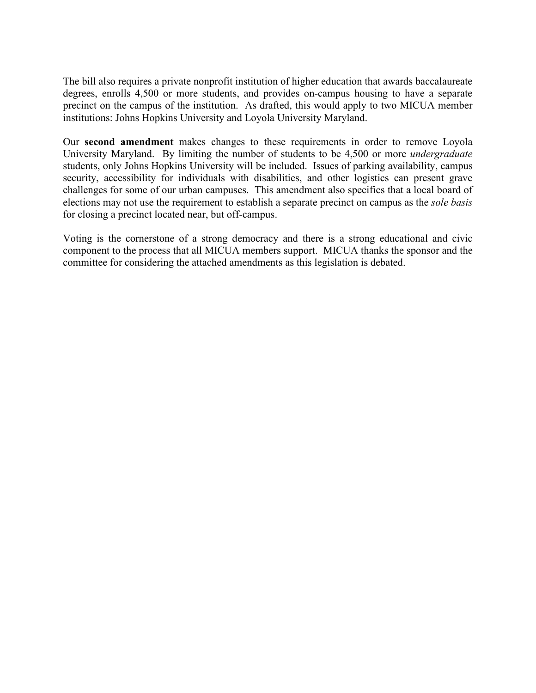The bill also requires a private nonprofit institution of higher education that awards baccalaureate degrees, enrolls 4,500 or more students, and provides on-campus housing to have a separate precinct on the campus of the institution. As drafted, this would apply to two MICUA member institutions: Johns Hopkins University and Loyola University Maryland.

Our **second amendment** makes changes to these requirements in order to remove Loyola University Maryland. By limiting the number of students to be 4,500 or more *undergraduate* students, only Johns Hopkins University will be included. Issues of parking availability, campus security, accessibility for individuals with disabilities, and other logistics can present grave challenges for some of our urban campuses. This amendment also specifics that a local board of elections may not use the requirement to establish a separate precinct on campus as the *sole basis* for closing a precinct located near, but off-campus.

Voting is the cornerstone of a strong democracy and there is a strong educational and civic component to the process that all MICUA members support. MICUA thanks the sponsor and the committee for considering the attached amendments as this legislation is debated.